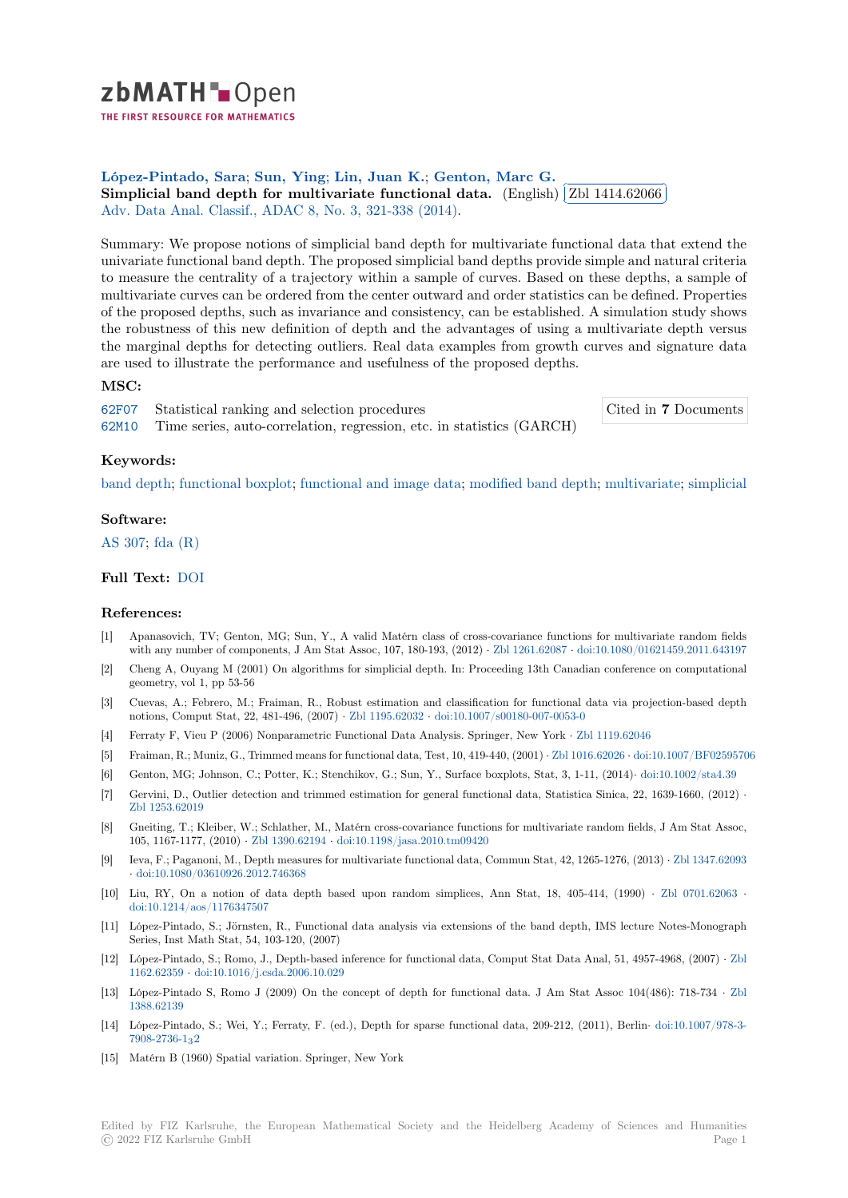

THE FIRST RESOURCE FOR MATHEMATICS

#### **López-Pintado, Sara**; **Sun, Ying**; **Lin, Juan K.**; **Genton, Marc G.** Lopez-Fintado, [S](https://zbmath.org/)ara; Sun, Ting, Lin, Juan **K.**; Genton, Marc G.<br>Simplicial band depth for multivariate functional data. (English) ∫ ✂ Zbl 1414.62066 i. ✁ Adv. Data Anal. Classif., ADAC 8, No. 3, 321-338 (2014).

[Summary: We propose](https://zbmath.org/authors/?q=ai:lopez-pintado.sara)[n](https://zbmath.org/authors/?q=ai:lopez-pintado.sara)[otions of sim](https://zbmath.org/authors/?q=ai:sun.ying)[plicial band dep](https://zbmath.org/authors/?q=ai:lin.juan-k)[th for multivariate fu](https://zbmath.org/authors/?q=ai:genton.marc-g)nctional data that extend the [univariate functional band depth. The proposed simplicial band d](https://zbmath.org/1414.62066)epths prov[ide simple and nat](https://zbmath.org/1414.62066)ural criteria [to measure the centrality of a tr](https://zbmath.org/journals/?q=se:4917)[ajectory within a sample](https://zbmath.org/?q=in:336463) of curves. Based on these depths, a sample of multivariate curves can be ordered from the center outward and order statistics can be defined. Properties of the proposed depths, such as invariance and consistency, can be established. A simulation study shows the robustness of this new definition of depth and the advantages of using a multivariate depth versus the marginal depths for detecting outliers. Real data examples from growth curves and signature data are used to illustrate the performance and usefulness of the proposed depths.

## **MSC:**

| 62F07 Statistical ranking and selection procedures                          | Cited in 7 Documents |
|-----------------------------------------------------------------------------|----------------------|
| 62M10 Time series, auto-correlation, regression, etc. in statistics (GARCH) |                      |

### **Keywords:**

[band d](https://zbmath.org/classification/?q=cc:62F07)epth; functional boxplot; functional and image data; modified band depth; [multivariate;](https://zbmath.org/?q=rf:1414.62066|7061498) simplicial

### **Software:**

[AS 307;](https://zbmath.org/?q=ut:band+depth) fda [\(R\)](https://zbmath.org/?q=ut:functional+boxplot)

# **Full Text:** DOI

## **[Refere](https://swmath.org/software/14162)[nces:](https://swmath.org/software/4511)**

- [1] Apanasovich, TV; Genton, MG; Sun, Y., A valid Matérn class of cross-covariance functions for multivariate random fields with any [numb](https://dx.doi.org/10.1007/s11634-014-0166-6)er of components, J Am Stat Assoc, 107, 180-193, (2012) *·* Zbl 1261.62087 *·* doi:10.1080/01621459.2011.643197
- [2] Cheng A, Ouyang M (2001) On algorithms for simplicial depth. In: Proceeding 13th Canadian conference on computational geometry, vol 1, pp 53-56
- [3] Cuevas, A.; Febrero, M.; Fraiman, R., Robust estimation and classification for functional data via projection-based depth notions, Comput Stat, 22, 481-496, (2007) *·* Zbl 1195.62032 *·* doi:10.1007[/s00180-007-005](https://zbmath.org/1261.62087)3[-0](https://dx.doi.org/10.1080/01621459.2011.643197)
- [4] Ferraty F, Vieu P (2006) Nonparametric Functional Data Analysis. Springer, New York *·* Zbl 1119.62046
- [5] Fraiman, R.; Muniz, G., Trimmed means for functional data, Test, 10, 419-440, (2001) *·* Zbl 1016.62026 *·* doi:10.1007/BF02595706
- [6] Genton, MG; Johnson, C.; Potter, K.; Stenchikov, G.; Sun, Y., Surface boxplots, Stat, 3, 1-11, (2014)*·* doi:10.1002/sta4.39
- [7] Gervini, D., Outlier detection and trimmed [estimation for g](https://zbmath.org/1195.62032)e[neral functional data, Statistic](https://dx.doi.org/10.1007/s00180-007-0053-0)[a Sinica, 22,](https://zbmath.org/1119.62046) 1639-1660, (2012) *·* Zbl 1253.62019
- [8] Gneiting, T.; Kleiber, W.; Schlather, M., Matérn cross-covariance functions for multi[variate random](https://zbmath.org/1016.62026) [fields, J Am Stat Assoc,](https://dx.doi.org/10.1007/BF02595706) 105, 1167-1177, (2010) *·* Zbl 1390.62194 *·* doi:10.1198/jasa.2010.tm09420
- [9] Ieva, F.; Paganoni, M., Depth measures for multivariate functional data, Commun Stat, 42, 1265-1276, (2013) *·* Zbl 1347.62093 *·* [doi:10.1080/03](https://zbmath.org/1253.62019)610926.2012.746368
- [10] Liu, RY, On a notion of data depth based upon random simplices, Ann Stat, 18, 405-414, (1990) *·* Zbl 0701.62063 *·* doi:10.1214/aos/1176347[507](https://zbmath.org/1390.62194)
- [11] López-Pintado, S.; Jörnsten, R., Functional data analysis via extensions of the band depth, IMS lecture No[tes-Monograph](https://zbmath.org/1347.62093) S[eries, Inst Math Stat, 54, 103-120,](https://dx.doi.org/10.1080/03610926.2012.746368) (2007)
- [12] López-Pintado, S.; Romo, J., Depth-based inference for functional data, Comput Stat Data Anal, 51, 4957-[4968, \(2007\)](https://zbmath.org/0701.62063) *·* Zbl 1162.62359 *·* [doi:10.1016/j.cs](https://dx.doi.org/10.1214/aos/1176347507)da.2006.10.029
- [13] López-Pintado S, Romo J (2009) On the concept of depth for functional data. J Am Stat Assoc 104(486): 718-734 *·* Zbl 1388.62139
- [14] López-Pintado, S.; Wei, Y.; Ferraty, F. (ed.), Depth for sparse functional data, 209-212, (2011), Berlin*·* doi:10.1007/97[8-3-](https://zbmath.org/1162.62359) [7908-2736-1](https://zbmath.org/1162.62359)3[2](https://dx.doi.org/10.1016/j.csda.2006.10.029)
- [15] Matérn B (1960) Spatial variation. Springer, New York